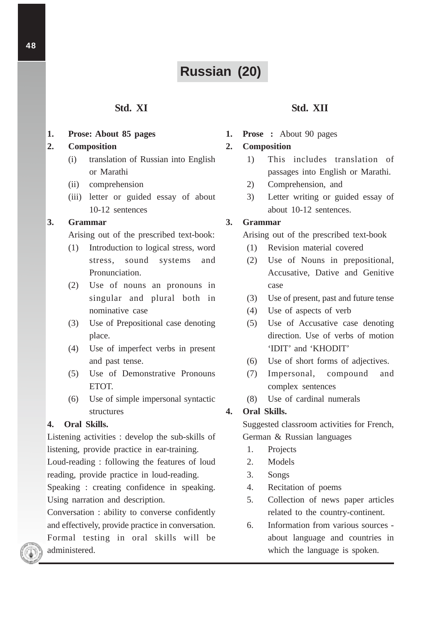# **Russian (20)**

# **Std. XI**

**1. Prose: About 85 pages**

## **2. Composition**

- (i) translation of Russian into English or Marathi
- (ii) comprehension
- (iii) letter or guided essay of about 10-12 sentences

## **3. Grammar**

Arising out of the prescribed text-book:

- (1) Introduction to logical stress, word stress, sound systems and Pronunciation.
- (2) Use of nouns an pronouns in singular and plural both in nominative case
- (3) Use of Prepositional case denoting place.
- (4) Use of imperfect verbs in present and past tense.
- (5) Use of Demonstrative Pronouns ETOT.
- (6) Use of simple impersonal syntactic structures

#### **4. Oral Skills.**

Listening activities : develop the sub-skills of listening, provide practice in ear-training.

Loud-reading : following the features of loud reading, provide practice in loud-reading.

Speaking : creating confidence in speaking. Using narration and description.

Conversation : ability to converse confidently and effectively, provide practice in conversation. Formal testing in oral skills will be administered.

# **Std. XII**

**1. Prose :** About 90 pages

#### **2. Composition**

- 1) This includes translation of passages into English or Marathi.
- 2) Comprehension, and
- 3) Letter writing or guided essay of about 10-12 sentences.

## **3. Grammar**

Arising out of the prescribed text-book

- (1) Revision material covered
- (2) Use of Nouns in prepositional, Accusative, Dative and Genitive case
- (3) Use of present, past and future tense
- (4) Use of aspects of verb
- (5) Use of Accusative case denoting direction. Use of verbs of motion 'IDIT' and 'KHODIT'
- (6) Use of short forms of adjectives.
- (7) Impersonal, compound and complex sentences
- (8) Use of cardinal numerals

## **4. Oral Skills.**

Suggested classroom activities for French, German & Russian languages

- 1. Projects
- 2. Models
- 3. Songs
- 4. Recitation of poems
- 5. Collection of news paper articles related to the country-continent.
- 6. Information from various sources about language and countries in which the language is spoken.